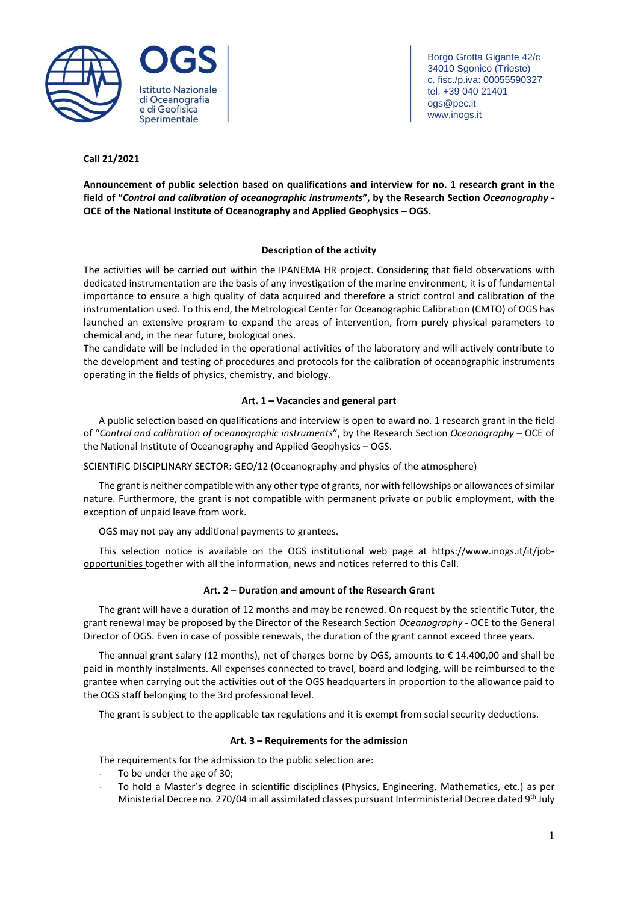

Borgo Grotta Gigante 42/c 34010 Sgonico (Trieste) c. fisc./p.iva: 00055590327 tel. +39 040 21401 ogs@pec.it www.inogs.it

# **Call 21/2021**

**Announcement of public selection based on qualifications and interview for no. 1 research grant in the field of "***Control and calibration of oceanographic instruments***", by the Research Section** *Oceanography* **- OCE of the National Institute of Oceanography and Applied Geophysics – OGS.**

# **Description of the activity**

The activities will be carried out within the IPANEMA HR project. Considering that field observations with dedicated instrumentation are the basis of any investigation of the marine environment, it is of fundamental importance to ensure a high quality of data acquired and therefore a strict control and calibration of the instrumentation used. To this end, the Metrological Center for Oceanographic Calibration (CMTO) of OGS has launched an extensive program to expand the areas of intervention, from purely physical parameters to chemical and, in the near future, biological ones.

The candidate will be included in the operational activities of the laboratory and will actively contribute to the development and testing of procedures and protocols for the calibration of oceanographic instruments operating in the fields of physics, chemistry, and biology.

# **Art. 1 – Vacancies and general part**

A public selection based on qualifications and interview is open to award no. 1 research grant in the field of "*Control and calibration of oceanographic instruments*", by the Research Section *Oceanography* – OCE of the National Institute of Oceanography and Applied Geophysics – OGS.

SCIENTIFIC DISCIPLINARY SECTOR: GEO/12 (Oceanography and physics of the atmosphere)

The grant is neither compatible with any other type of grants, nor with fellowships or allowances of similar nature. Furthermore, the grant is not compatible with permanent private or public employment, with the exception of unpaid leave from work.

OGS may not pay any additional payments to grantees.

This selection notice is available on the OGS institutional web page at [https://www.inogs.it/it/job](https://www.inogs.it/it/job-opportunities)[opportunities](https://www.inogs.it/it/job-opportunities) together with all the information, news and notices referred to this Call.

# **Art. 2 – Duration and amount of the Research Grant**

The grant will have a duration of 12 months and may be renewed. On request by the scientific Tutor, the grant renewal may be proposed by the Director of the Research Section *Oceanography* - OCE to the General Director of OGS. Even in case of possible renewals, the duration of the grant cannot exceed three years.

The annual grant salary (12 months), net of charges borne by OGS, amounts to € 14.400,00 and shall be paid in monthly instalments. All expenses connected to travel, board and lodging, will be reimbursed to the grantee when carrying out the activities out of the OGS headquarters in proportion to the allowance paid to the OGS staff belonging to the 3rd professional level.

The grant is subject to the applicable tax regulations and it is exempt from social security deductions.

# **Art. 3 – Requirements for the admission**

The requirements for the admission to the public selection are:

- To be under the age of 30;
- To hold a Master's degree in scientific disciplines (Physics, Engineering, Mathematics, etc.) as per Ministerial Decree no. 270/04 in all assimilated classes pursuant Interministerial Decree dated 9<sup>th</sup> July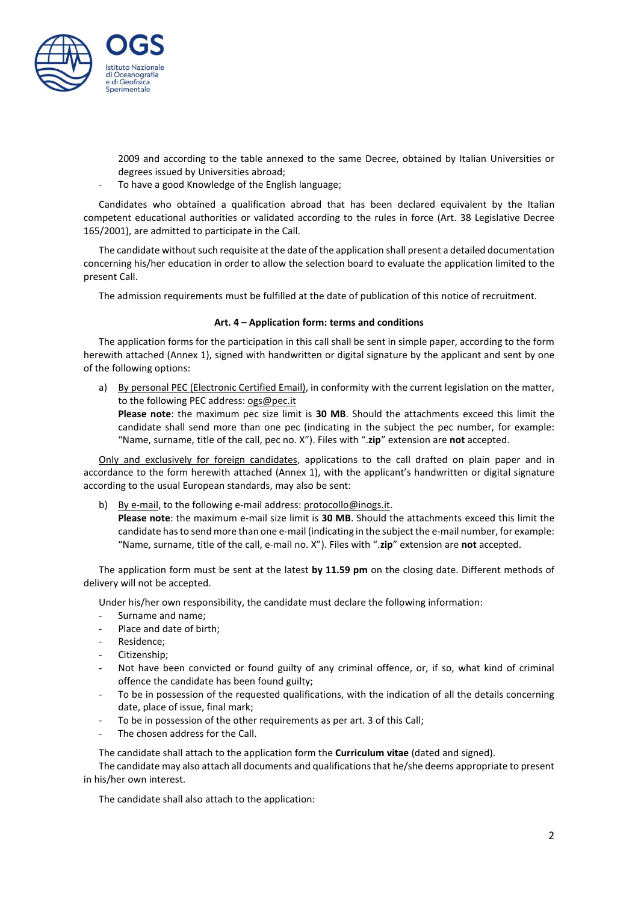

2009 and according to the table annexed to the same Decree, obtained by Italian Universities or degrees issued by Universities abroad;

To have a good Knowledge of the English language;

Candidates who obtained a qualification abroad that has been declared equivalent by the Italian competent educational authorities or validated according to the rules in force (Art. 38 Legislative Decree 165/2001), are admitted to participate in the Call.

The candidate without such requisite at the date of the application shall present a detailed documentation concerning his/her education in order to allow the selection board to evaluate the application limited to the present Call.

The admission requirements must be fulfilled at the date of publication of this notice of recruitment.

# **Art. 4 – Application form: terms and conditions**

The application forms for the participation in this call shall be sent in simple paper, according to the form herewith attached (Annex 1), signed with handwritten or digital signature by the applicant and sent by one of the following options:

a) By personal PEC (Electronic Certified Email), in conformity with the current legislation on the matter, to the following PEC address: [ogs@pec.it](mailto:ogs@pec.it)

**Please note**: the maximum pec size limit is **30 MB**. Should the attachments exceed this limit the candidate shall send more than one pec (indicating in the subject the pec number, for example: "Name, surname, title of the call, pec no. X"). Files with ".**zip**" extension are **not** accepted.

Only and exclusively for foreign candidates, applications to the call drafted on plain paper and in accordance to the form herewith attached (Annex 1), with the applicant's handwritten or digital signature according to the usual European standards, may also be sent:

- b) By e-mail, to the following e-mail address: [protocollo@inogs.it.](mailto:protocollo@inogs.it)
	- **Please note**: the maximum e-mail size limit is **30 MB**. Should the attachments exceed this limit the candidate hasto send more than one e-mail (indicating in the subject the e-mail number, for example: "Name, surname, title of the call, e-mail no. X"). Files with ".**zip**" extension are **not** accepted.

The application form must be sent at the latest **by 11.59 pm** on the closing date. Different methods of delivery will not be accepted.

Under his/her own responsibility, the candidate must declare the following information:

- Surname and name;
- Place and date of birth;
- Residence;
- Citizenship;
- Not have been convicted or found guilty of any criminal offence, or, if so, what kind of criminal offence the candidate has been found guilty;
- To be in possession of the requested qualifications, with the indication of all the details concerning date, place of issue, final mark;
- To be in possession of the other requirements as per art. 3 of this Call;
- The chosen address for the Call.

The candidate shall attach to the application form the **Curriculum vitae** (dated and signed).

The candidate may also attach all documents and qualificationsthat he/she deems appropriate to present in his/her own interest.

The candidate shall also attach to the application: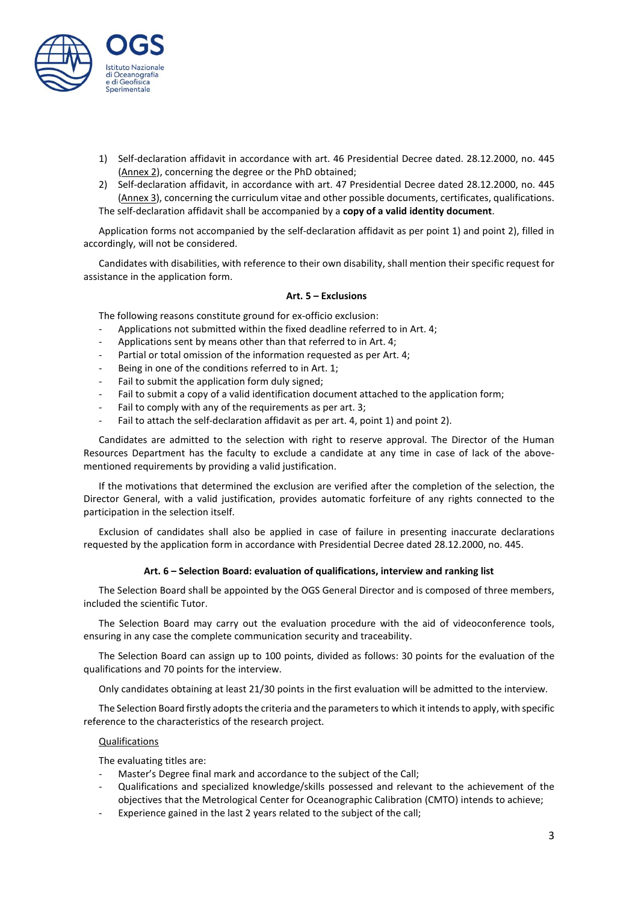

- 1) Self-declaration affidavit in accordance with art. 46 Presidential Decree dated. 28.12.2000, no. 445 (Annex 2), concerning the degree or the PhD obtained;
- 2) Self-declaration affidavit, in accordance with art. 47 Presidential Decree dated 28.12.2000, no. 445 (Annex 3), concerning the curriculum vitae and other possible documents, certificates, qualifications. The self-declaration affidavit shall be accompanied by a **copy of a valid identity document**.

Application forms not accompanied by the self-declaration affidavit as per point 1) and point 2), filled in accordingly, will not be considered.

Candidates with disabilities, with reference to their own disability, shall mention their specific request for assistance in the application form.

# **Art. 5 – Exclusions**

The following reasons constitute ground for ex-officio exclusion:

- Applications not submitted within the fixed deadline referred to in Art. 4;
- Applications sent by means other than that referred to in Art. 4;
- Partial or total omission of the information requested as per Art. 4;
- Being in one of the conditions referred to in Art. 1;
- Fail to submit the application form duly signed;
- Fail to submit a copy of a valid identification document attached to the application form;
- Fail to [comply](http://context.reverso.net/traduzione/inglese-italiano/to+comply+with+any) with any of the [requirements](http://context.reverso.net/traduzione/inglese-italiano/requirements) as per art. 3;
- Fail to attach the self-declaration affidavit as per art. 4, point 1) and point 2).

Candidates are admitted to the selection with right to reserve approval. The Director of the Human Resources Department has the faculty to exclude a candidate at any time in case of lack of the abovementioned requirements by providing a valid justification.

If the motivations that determined the exclusion are verified after the completion of the selection, the Director General, with a valid justification, provides automatic forfeiture of any rights connected to the participation in the selection itself.

Exclusion of candidates shall also be applied in case of failure in presenting inaccurate declarations requested by the application form in accordance with Presidential Decree dated 28.12.2000, no. 445.

## **Art. 6 – Selection Board: evaluation of qualifications, interview and ranking list**

The Selection Board shall be appointed by the OGS General Director and is composed of three members, included the scientific Tutor.

The Selection Board may carry out the evaluation procedure with the aid of videoconference tools, ensuring in any case the complete communication security and traceability.

The Selection Board can assign up to 100 points, divided as follows: 30 points for the evaluation of the qualifications and 70 points for the interview.

Only candidates obtaining at least 21/30 points in the first evaluation will be admitted to the interview.

The Selection Board firstly adopts the criteria and the parameters to which it intends to apply, with specific reference to the characteristics of the research project.

## Qualifications

The evaluating titles are:

- Master's Degree final mark and accordance to the subject of the Call;
- Qualifications and specialized knowledge/skills possessed and relevant to the achievement of the objectives that the Metrological Center for Oceanographic Calibration (CMTO) intends to achieve;
- Experience gained in the last 2 years related to the subject of the call;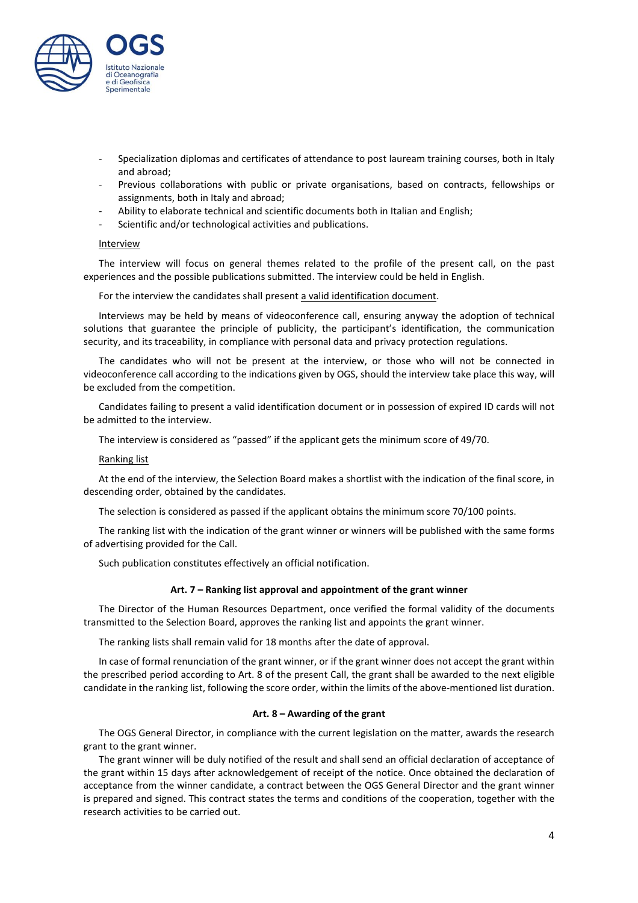

- Specialization diplomas and certificates of attendance to post lauream training courses, both in Italy and abroad;
- Previous collaborations with public or private organisations, based on contracts, fellowships or assignments, both in Italy and abroad;
- Ability to elaborate technical and scientific documents both in Italian and English;
- Scientific and/or technological activities and publications.

# **Interview**

The interview will focus on general themes related to the profile of the present call, on the past experiences and the possible publications submitted. The interview could be held in English.

For the interview the candidates shall present a valid identification document.

Interviews may be held by means of videoconference call, ensuring anyway the adoption of technical solutions that guarantee the principle of publicity, the participant's identification, the communication security, and its traceability, in compliance with personal data and privacy protection regulations.

The candidates who will not be present at the interview, or those who will not be connected in videoconference call according to the indications given by OGS, should the interview take place this way, will be excluded from the competition.

Candidates failing to present a valid identification document or in possession of expired ID cards will not be admitted to the interview.

The interview is considered as "passed" if the applicant gets the minimum score of 49/70.

## Ranking list

At the end of the interview, the Selection Board makes a shortlist with the indication of the final score, in descending order, obtained by the candidates.

The selection is considered as passed if the applicant obtains the minimum score 70/100 points.

The ranking list with the indication of the grant winner or winners will be published with the same forms of advertising provided for the Call.

Such publication constitutes effectively an official notification.

#### **Art. 7 – Ranking list approval and appointment of the grant winner**

The Director of the Human Resources Department, once verified the formal validity of the documents transmitted to the Selection Board, approves the ranking list and appoints the grant winner.

The ranking lists shall remain valid for 18 months after the date of approval.

In case of formal renunciation of the grant winner, or if the grant winner does not accept the grant within the prescribed period according to Art. 8 of the present Call, the grant shall be awarded to the next eligible candidate in the ranking list, following the score order, within the limits of the above-mentioned list duration.

#### **Art. 8 – Awarding of the grant**

The OGS General Director, in compliance with the current legislation on the matter, awards the research grant to the grant winner.

The grant winner will be duly notified of the result and shall send an official declaration of acceptance of the grant within 15 days after acknowledgement of receipt of the notice. Once obtained the declaration of acceptance from the winner candidate, a contract between the OGS General Director and the grant winner is prepared and signed. This contract states the terms and conditions of the cooperation, together with the research activities to be carried out.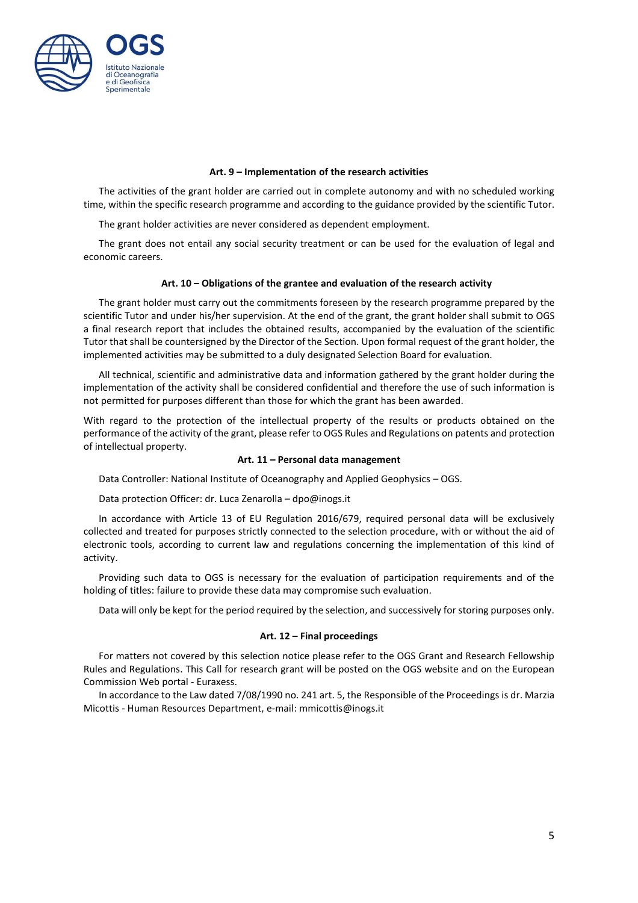

## **Art. 9 – Implementation of the research activities**

The activities of the grant holder are carried out in complete autonomy and with no scheduled working time, within the specific research programme and according to the guidance provided by the scientific Tutor.

The grant holder activities are never considered as dependent employment.

The grant does not entail any social security treatment or can be used for the evaluation of legal and economic careers.

#### **Art. 10 – Obligations of the grantee and evaluation of the research activity**

The grant holder must carry out the commitments foreseen by the research programme prepared by the scientific Tutor and under his/her supervision. At the end of the grant, the grant holder shall submit to OGS a final research report that includes the obtained results, accompanied by the evaluation of the scientific Tutor that shall be countersigned by the Director of the Section. Upon formal request of the grant holder, the implemented activities may be submitted to a duly designated Selection Board for evaluation.

All technical, scientific and administrative data and information gathered by the grant holder during the implementation of the activity shall be considered confidential and therefore the use of such information is not permitted for purposes different than those for which the grant has been awarded.

With regard to the protection of the intellectual property of the results or products obtained on the performance of the activity of the grant, please refer to OGS Rules and Regulations on patents and protection of intellectual property.

#### **Art. 11 – Personal data management**

Data Controller: National Institute of Oceanography and Applied Geophysics – OGS.

Data protection Officer: dr. Luca Zenarolla – dpo@inogs.it

In accordance with Article 13 of EU Regulation 2016/679, required personal data will be exclusively collected and treated for purposes strictly connected to the selection procedure, with or without the aid of electronic tools, according to current law and regulations concerning the implementation of this kind of activity.

Providing such data to OGS is necessary for the evaluation of participation requirements and of the holding of titles: failure to provide these data may compromise such evaluation.

Data will only be kept for the period required by the selection, and successively for storing purposes only.

## **Art. 12 – Final proceedings**

For matters not covered by this selection notice please refer to the OGS Grant and Research Fellowship Rules and Regulations. This Call for research grant will be posted on the OGS website and on the European Commission Web portal - Euraxess.

In accordance to the Law dated 7/08/1990 no. 241 art. 5, the Responsible of the Proceedings is dr. Marzia Micottis - Human Resources Department, e-mail: mmicottis@inogs.it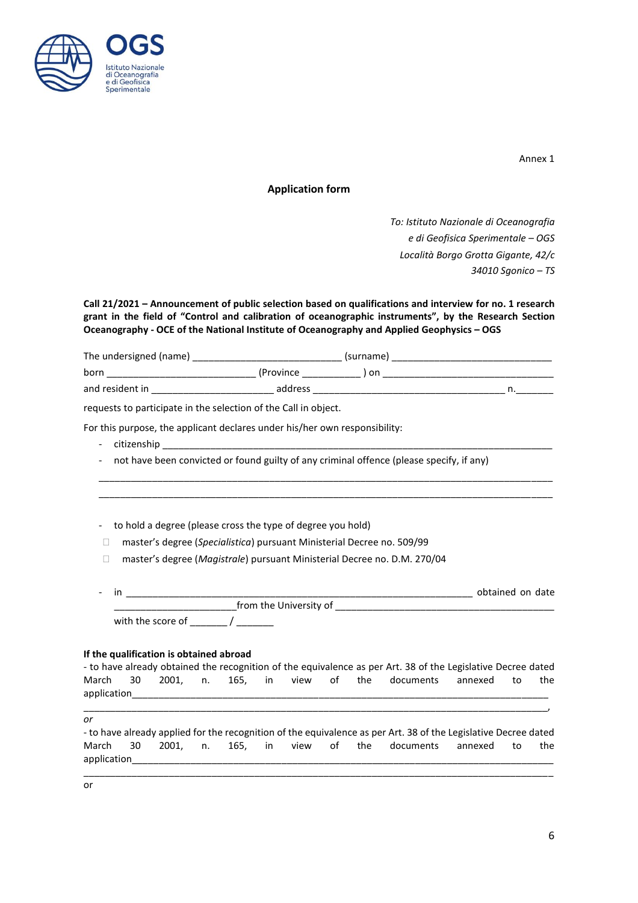

Annex 1

# **Application form**

*To: Istituto Nazionale di Oceanografia e di Geofisica Sperimentale – OGS Località Borgo Grotta Gigante, 42/c 34010 Sgonico – TS*

**Call 21/2021 – Announcement of public selection based on qualifications and interview for no. 1 research grant in the field of "Control and calibration of oceanographic instruments", by the Research Section Oceanography - OCE of the National Institute of Oceanography and Applied Geophysics – OGS**

| The undersigned (name) |            | (surname) |  |
|------------------------|------------|-----------|--|
| born                   | (Province) | ı on      |  |
| and resident in        | address    |           |  |

requests to participate in the selection of the Call in object.

For this purpose, the applicant declares under his/her own responsibility:

- citizenship \_
- not have been convicted or found guilty of any criminal offence (please specify, if any)

- to hold a degree (please cross the type of degree you hold)

- □ master's degree (*Specialistica*) pursuant Ministerial Decree no. 509/99
- □ master's degree (*Magistrale*) pursuant Ministerial Decree no. D.M. 270/04

|                        | obtained on date |  |  |
|------------------------|------------------|--|--|
| from the University of |                  |  |  |
| with the score of      |                  |  |  |

\_\_\_\_\_\_\_\_\_\_\_\_\_\_\_\_\_\_\_\_\_\_\_\_\_\_\_\_\_\_\_\_\_\_\_\_\_\_\_\_\_\_\_\_\_\_\_\_\_\_\_\_\_\_\_\_\_\_\_\_\_\_\_\_\_\_\_\_\_\_\_\_\_\_\_\_\_\_\_\_\_\_\_\_\_ \_\_\_\_\_\_\_\_\_\_\_\_\_\_\_\_\_\_\_\_\_\_\_\_\_\_\_\_\_\_\_\_\_\_\_\_\_\_\_\_\_\_\_\_\_\_\_\_\_\_\_\_\_\_\_\_\_\_\_\_\_\_\_\_\_\_\_\_\_\_\_\_\_\_\_\_\_\_\_\_\_\_\_\_\_

## **If the qualification is obtained abroad**

|             |  |  |  |  | - to have already obtained the recognition of the equivalence as per Art. 38 of the Legislative Decree dated |  |     |
|-------------|--|--|--|--|--------------------------------------------------------------------------------------------------------------|--|-----|
|             |  |  |  |  | March 30 2001. n. 165. in view of the documents annexed to                                                   |  | the |
| application |  |  |  |  |                                                                                                              |  |     |

\_\_\_\_\_\_\_\_\_\_\_\_\_\_\_\_\_\_\_\_\_\_\_\_\_\_\_\_\_\_\_\_\_\_\_\_\_\_\_\_\_\_\_\_\_\_\_\_\_\_\_\_\_\_\_\_\_\_\_\_\_\_\_\_\_\_\_\_\_\_\_\_\_\_\_\_\_\_\_\_\_\_\_\_\_\_\_,

*or*

- to have already applied for the recognition of the equivalence as per Art. 38 of the Legislative Decree dated March 30 2001, n. 165, in view of the documents annexed to the application\_

\_\_\_\_\_\_\_\_\_\_\_\_\_\_\_\_\_\_\_\_\_\_\_\_\_\_\_\_\_\_\_\_\_\_\_\_\_\_\_\_\_\_\_\_\_\_\_\_\_\_\_\_\_\_\_\_\_\_\_\_\_\_\_\_\_\_\_\_\_\_\_\_\_\_\_\_\_\_\_\_\_\_\_\_\_\_\_\_

or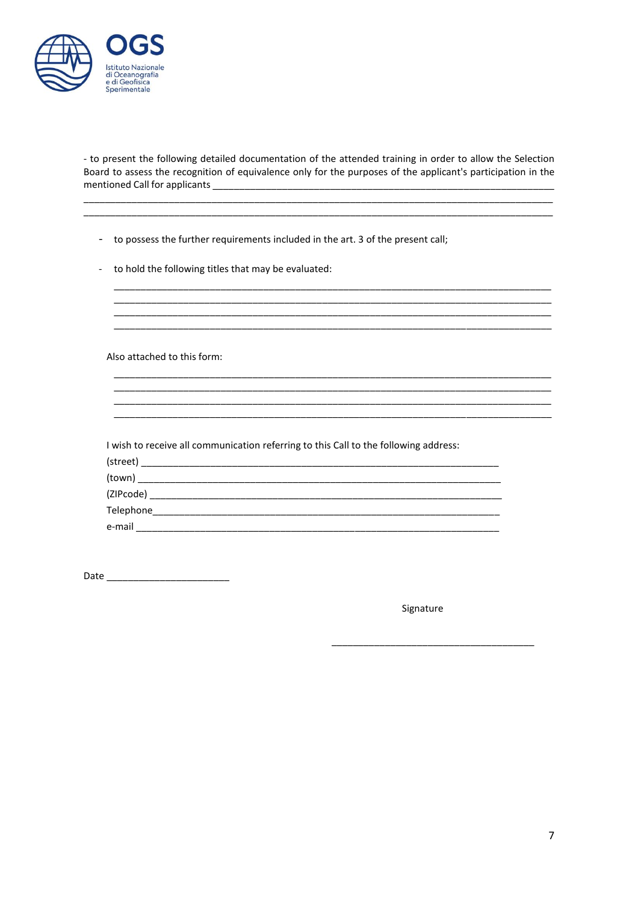

- to present the following detailed documentation of the attended training in order to allow the Selection Board to assess the recognition of equivalence only for the purposes of the applicant's participation in the 

<u> 1989 - Johann Stoff, deutscher Stoff, der Stoff, deutscher Stoff, der Stoff, der Stoff, der Stoff, der Stoff, </u> 

| - to possess the further requirements included in the art. 3 of the present call; |  |  |
|-----------------------------------------------------------------------------------|--|--|
|                                                                                   |  |  |

- to hold the following titles that may be evaluated:

Also attached to this form:

I wish to receive all communication referring to this Call to the following address:

| (street)   |  |  |  |
|------------|--|--|--|
| (town)     |  |  |  |
| (ZIPcode)  |  |  |  |
| Telephone_ |  |  |  |
| e-mail     |  |  |  |

Signature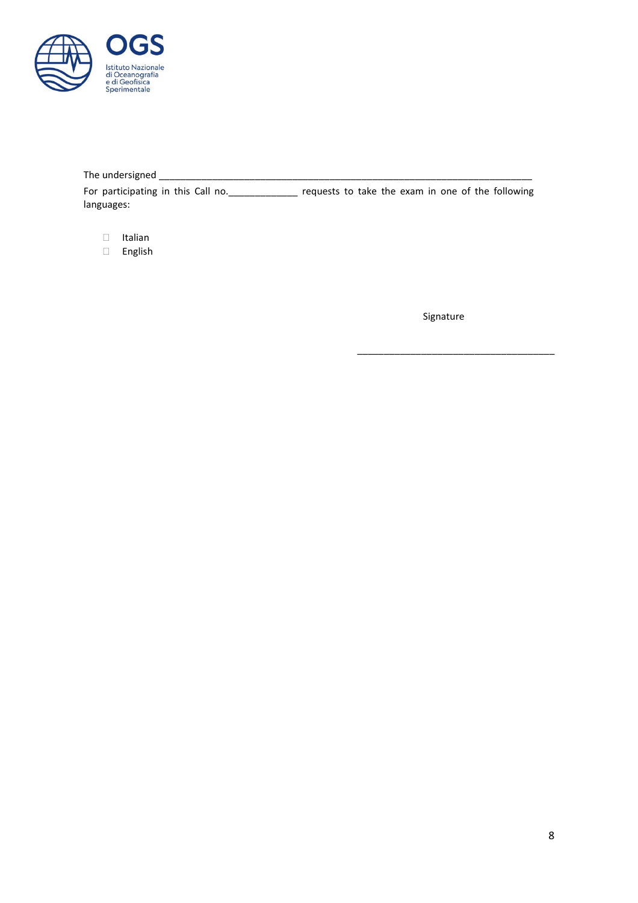

The undersigned \_\_\_\_\_\_\_\_\_\_\_\_\_\_\_\_\_\_\_\_\_\_\_\_\_\_\_\_\_\_\_\_\_\_\_\_\_\_\_\_\_\_\_\_\_\_\_\_\_\_\_\_\_\_\_\_\_\_\_\_\_\_\_\_\_\_\_\_\_\_ For participating in this Call no.\_\_\_\_\_\_\_\_\_\_\_\_\_ requests to take the exam in one of the following languages:

- $\Box$  Italian
- English

Signature

\_\_\_\_\_\_\_\_\_\_\_\_\_\_\_\_\_\_\_\_\_\_\_\_\_\_\_\_\_\_\_\_\_\_\_\_\_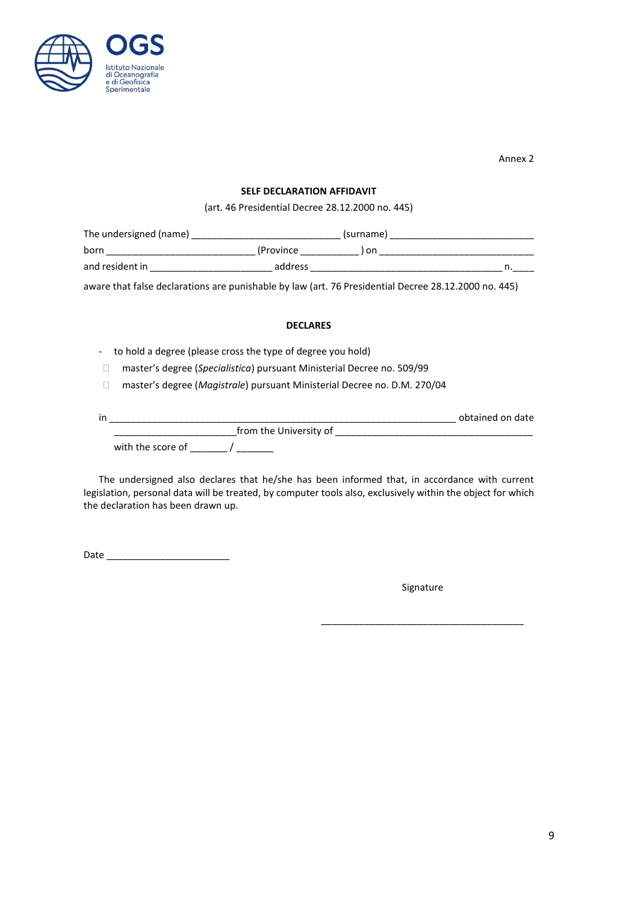

Annex 2

## **SELF DECLARATION AFFIDAVIT**

(art. 46 Presidential Decree 28.12.2000 no. 445)

| The undersigned (name) |            | (surname) |  |
|------------------------|------------|-----------|--|
| born                   | (Province) | on        |  |
| and resident in        | address    |           |  |

aware that false declarations are punishable by law (art. 76 Presidential Decree 28.12.2000 no. 445)

# **DECLARES**

- to hold a degree (please cross the type of degree you hold)
- master's degree (*Specialistica*) pursuant Ministerial Decree no. 509/99
- □ master's degree (*Magistrale*) pursuant Ministerial Decree no. D.M. 270/04

| in |                        | obtained on date |  |
|----|------------------------|------------------|--|
|    | from the University of |                  |  |
|    | with the score of      |                  |  |

The undersigned also declares that he/she has been informed that, in accordance with current legislation, personal data will be treated, by computer tools also, exclusively within the object for which the declaration has been drawn up.

Date  $\_\_$ 

Signature

\_\_\_\_\_\_\_\_\_\_\_\_\_\_\_\_\_\_\_\_\_\_\_\_\_\_\_\_\_\_\_\_\_\_\_\_\_\_